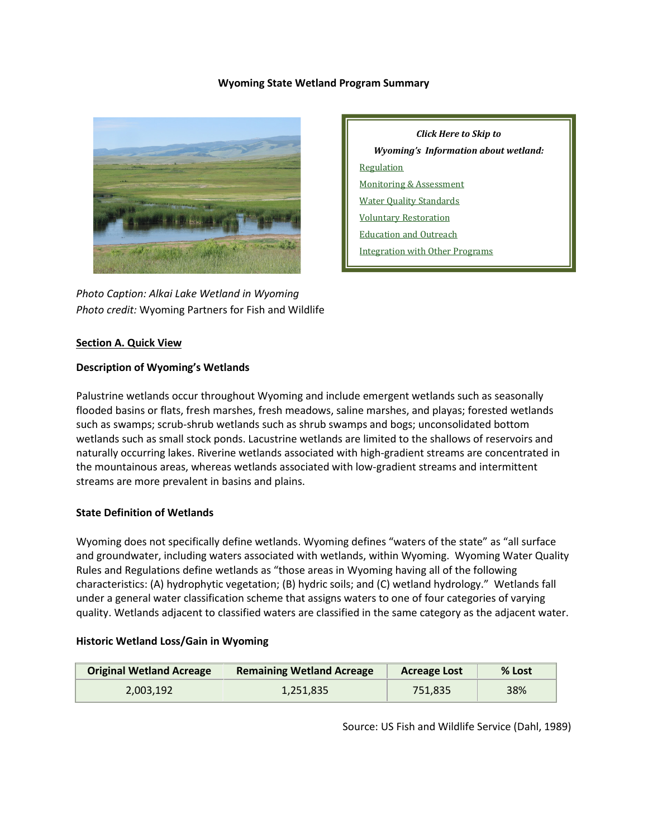### **Wyoming State Wetland Program Summary**



*Photo Caption: Alkai Lake Wetland in Wyoming Photo credit:* Wyoming Partners for Fish and Wildlife

*Click Here to Skip to Wyoming's Information about wetland:* [Regulation](#page-2-0) [Monitoring & Assessment](#page-6-0) Water [Quality Standards](#page-5-0) [Voluntary Restoration](#page-8-0) [Education and Outreach](#page-10-0) [Integration with Other Programs](#page-10-1)

### **Section A. Quick View**

#### **Description of Wyoming's Wetlands**

Palustrine wetlands occur throughout Wyoming and include emergent wetlands such as seasonally flooded basins or flats, fresh marshes, fresh meadows, saline marshes, and playas; forested wetlands such as swamps; scrub-shrub wetlands such as shrub swamps and bogs; unconsolidated bottom wetlands such as small stock ponds. Lacustrine wetlands are limited to the shallows of reservoirs and naturally occurring lakes. Riverine wetlands associated with high-gradient streams are concentrated in the mountainous areas, whereas wetlands associated with low-gradient streams and intermittent streams are more prevalent in basins and plains.

### **State Definition of Wetlands**

Wyoming does not specifically define wetlands. Wyoming defines "waters of the state" as "all surface and groundwater, including waters associated with wetlands, within Wyoming. Wyoming Water Quality Rules and Regulations define wetlands as "those areas in Wyoming having all of the following characteristics: (A) hydrophytic vegetation; (B) hydric soils; and (C) wetland hydrology." Wetlands fall under a general water classification scheme that assigns waters to one of four categories of varying quality. Wetlands adjacent to classified waters are classified in the same category as the adjacent water.

#### **Historic Wetland Loss/Gain in Wyoming**

| <b>Original Wetland Acreage</b> | <b>Remaining Wetland Acreage</b> | <b>Acreage Lost</b> | % Lost |
|---------------------------------|----------------------------------|---------------------|--------|
| 2.003.192                       | 1.251.835                        | 751.835             | 38%    |

Source: US Fish and Wildlife Service (Dahl, 1989)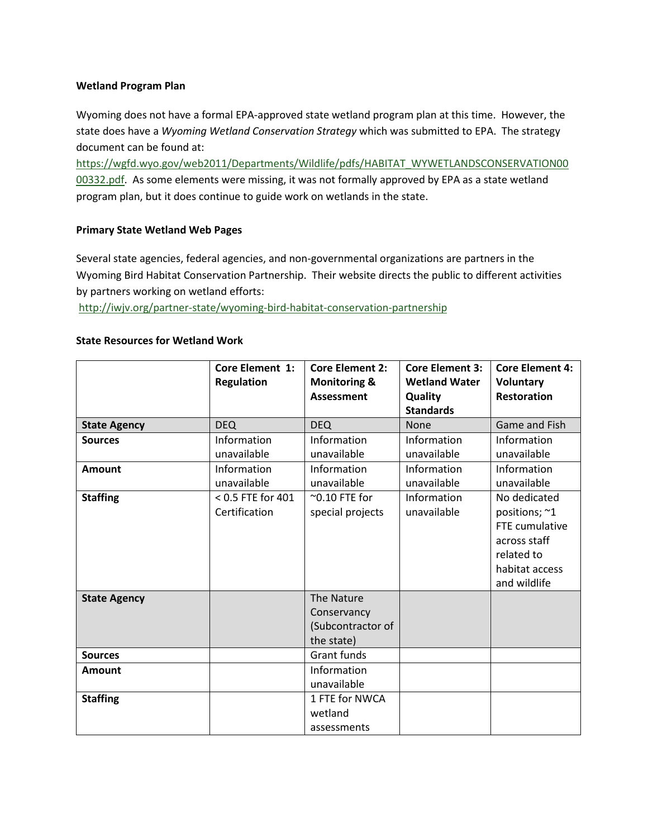### **Wetland Program Plan**

Wyoming does not have a formal EPA-approved state wetland program plan at this time. However, the state does have a *Wyoming Wetland Conservation Strategy* which was submitted to EPA. The strategy document can be found at:

[https://wgfd.wyo.gov/web2011/Departments/Wildlife/pdfs/HABITAT\\_WYWETLANDSCONSERVATION00](https://wgfd.wyo.gov/web2011/Departments/Wildlife/pdfs/HABITAT_WYWETLANDSCONSERVATION0000332.pdf) [00332.pdf.](https://wgfd.wyo.gov/web2011/Departments/Wildlife/pdfs/HABITAT_WYWETLANDSCONSERVATION0000332.pdf) As some elements were missing, it was not formally approved by EPA as a state wetland program plan, but it does continue to guide work on wetlands in the state.

### **Primary State Wetland Web Pages**

Several state agencies, federal agencies, and non-governmental organizations are partners in the Wyoming Bird Habitat Conservation Partnership. Their website directs the public to different activities by partners working on wetland efforts:

<http://iwjv.org/partner-state/wyoming-bird-habitat-conservation-partnership>

## **State Resources for Wetland Work**

|                     | <b>Core Element 1:</b><br><b>Regulation</b> | <b>Core Element 2:</b><br><b>Monitoring &amp;</b><br><b>Assessment</b> | <b>Core Element 3:</b><br><b>Wetland Water</b><br>Quality<br><b>Standards</b> | <b>Core Element 4:</b><br><b>Voluntary</b><br><b>Restoration</b>                                                |
|---------------------|---------------------------------------------|------------------------------------------------------------------------|-------------------------------------------------------------------------------|-----------------------------------------------------------------------------------------------------------------|
| <b>State Agency</b> | <b>DEQ</b>                                  | <b>DEQ</b>                                                             | <b>None</b>                                                                   | Game and Fish                                                                                                   |
| <b>Sources</b>      | Information<br>unavailable                  | Information<br>unavailable                                             | Information<br>unavailable                                                    | Information<br>unavailable                                                                                      |
| <b>Amount</b>       | Information<br>unavailable                  | Information<br>unavailable                                             | Information<br>unavailable                                                    | Information<br>unavailable                                                                                      |
| <b>Staffing</b>     | < 0.5 FTE for 401<br>Certification          | $^{\sim}$ 0.10 FTE for<br>special projects                             | Information<br>unavailable                                                    | No dedicated<br>positions; ~1<br>FTE cumulative<br>across staff<br>related to<br>habitat access<br>and wildlife |
| <b>State Agency</b> |                                             | The Nature<br>Conservancy<br>(Subcontractor of<br>the state)           |                                                                               |                                                                                                                 |
| <b>Sources</b>      |                                             | Grant funds                                                            |                                                                               |                                                                                                                 |
| Amount              |                                             | Information<br>unavailable                                             |                                                                               |                                                                                                                 |
| <b>Staffing</b>     |                                             | 1 FTE for NWCA<br>wetland<br>assessments                               |                                                                               |                                                                                                                 |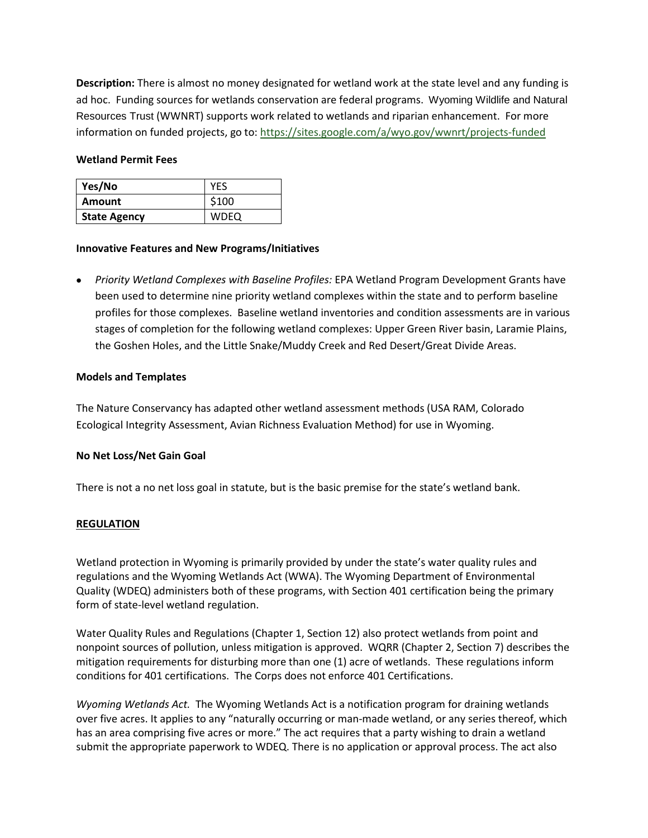**Description:** There is almost no money designated for wetland work at the state level and any funding is ad hoc. Funding sources for wetlands conservation are federal programs. Wyoming Wildlife and Natural Resources Trust (WWNRT) supports work related to wetlands and riparian enhancement. For more information on funded projects, go to:<https://sites.google.com/a/wyo.gov/wwnrt/projects-funded>

### **Wetland Permit Fees**

| Yes/No              | YES         |
|---------------------|-------------|
| Amount              | \$100       |
| <b>State Agency</b> | <b>WDEQ</b> |

#### **Innovative Features and New Programs/Initiatives**

• *Priority Wetland Complexes with Baseline Profiles:* EPA Wetland Program Development Grants have been used to determine nine priority wetland complexes within the state and to perform baseline profiles for those complexes. Baseline wetland inventories and condition assessments are in various stages of completion for the following wetland complexes: Upper Green River basin, Laramie Plains, the Goshen Holes, and the Little Snake/Muddy Creek and Red Desert/Great Divide Areas.

#### **Models and Templates**

The Nature Conservancy has adapted other wetland assessment methods (USA RAM, Colorado Ecological Integrity Assessment, Avian Richness Evaluation Method) for use in Wyoming.

### **No Net Loss/Net Gain Goal**

There is not a no net loss goal in statute, but is the basic premise for the state's wetland bank.

### <span id="page-2-0"></span>**REGULATION**

Wetland protection in Wyoming is primarily provided by under the state's water quality rules and regulations and the Wyoming Wetlands Act (WWA). The Wyoming Department of Environmental Quality (WDEQ) administers both of these programs, with Section 401 certification being the primary form of state-level wetland regulation.

Water Quality Rules and Regulations (Chapter 1, Section 12) also protect wetlands from point and nonpoint sources of pollution, unless mitigation is approved. WQRR (Chapter 2, Section 7) describes the mitigation requirements for disturbing more than one (1) acre of wetlands. These regulations inform conditions for 401 certifications. The Corps does not enforce 401 Certifications.

*Wyoming Wetlands Act.* The Wyoming Wetlands Act is a notification program for draining wetlands over five acres. It applies to any "naturally occurring or man-made wetland, or any series thereof, which has an area comprising five acres or more." The act requires that a party wishing to drain a wetland submit the appropriate paperwork to WDEQ. There is no application or approval process. The act also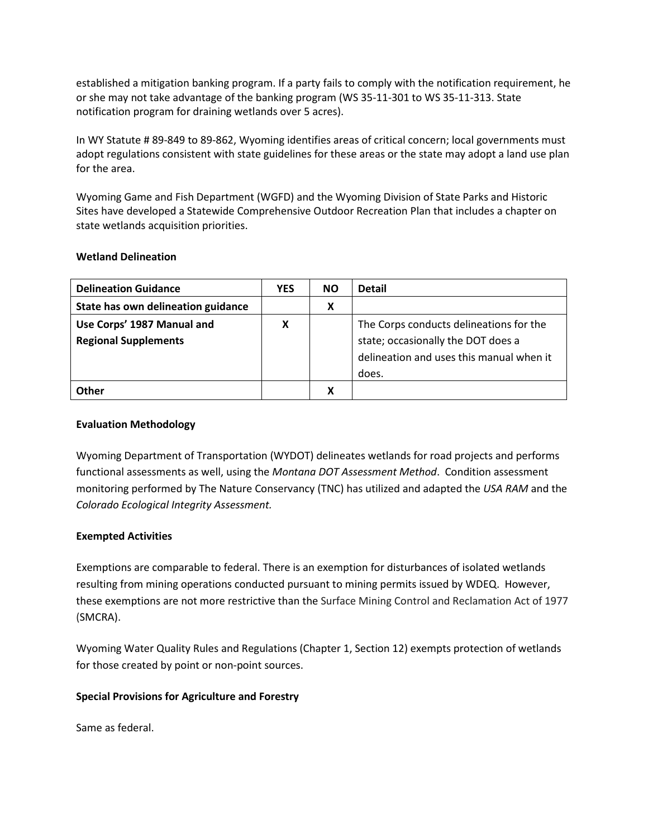established a mitigation banking program. If a party fails to comply with the notification requirement, he or she may not take advantage of the banking program (WS 35-11-301 to WS 35-11-313. State notification program for draining wetlands over 5 acres).

In WY Statute # 89-849 to 89-862, Wyoming identifies areas of critical concern; local governments must adopt regulations consistent with state guidelines for these areas or the state may adopt a land use plan for the area.

Wyoming Game and Fish Department (WGFD) and the Wyoming Division of State Parks and Historic Sites have developed a Statewide Comprehensive Outdoor Recreation Plan that includes a chapter on state wetlands acquisition priorities.

## **Wetland Delineation**

| <b>Delineation Guidance</b>        | <b>YES</b> | <b>NO</b> | <b>Detail</b>                            |
|------------------------------------|------------|-----------|------------------------------------------|
| State has own delineation guidance |            | х         |                                          |
| Use Corps' 1987 Manual and         | X          |           | The Corps conducts delineations for the  |
| <b>Regional Supplements</b>        |            |           | state; occasionally the DOT does a       |
|                                    |            |           | delineation and uses this manual when it |
|                                    |            |           | does.                                    |
| 0ther                              |            |           |                                          |

## **Evaluation Methodology**

Wyoming Department of Transportation (WYDOT) delineates wetlands for road projects and performs functional assessments as well, using the *Montana DOT Assessment Method*. Condition assessment monitoring performed by The Nature Conservancy (TNC) has utilized and adapted the *USA RAM* and the *Colorado Ecological Integrity Assessment.*

## **Exempted Activities**

Exemptions are comparable to federal. There is an exemption for disturbances of isolated wetlands resulting from mining operations conducted pursuant to mining permits issued by WDEQ. However, these exemptions are not more restrictive than the Surface Mining Control and Reclamation Act of 1977 (SMCRA).

Wyoming Water Quality Rules and Regulations (Chapter 1, Section 12) exempts protection of wetlands for those created by point or non-point sources.

# **Special Provisions for Agriculture and Forestry**

Same as federal.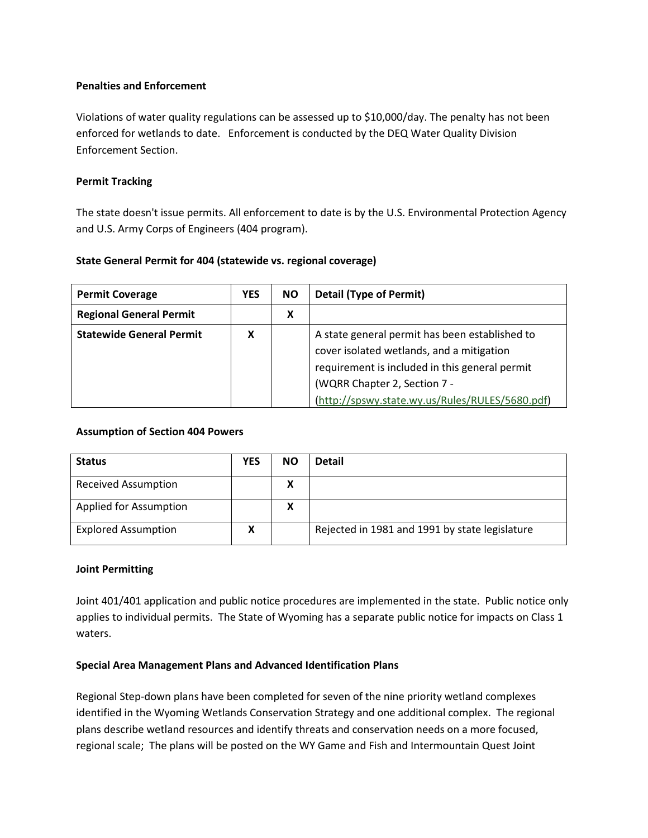### **Penalties and Enforcement**

Violations of water quality regulations can be assessed up to \$10,000/day. The penalty has not been enforced for wetlands to date. Enforcement is conducted by the DEQ Water Quality Division Enforcement Section.

### **Permit Tracking**

The state doesn't issue permits. All enforcement to date is by the U.S. Environmental Protection Agency and U.S. Army Corps of Engineers (404 program).

## **State General Permit for 404 (statewide vs. regional coverage)**

| <b>Permit Coverage</b>          | <b>YES</b> | <b>NO</b> | <b>Detail (Type of Permit)</b>                                                                                                                                                                                                   |
|---------------------------------|------------|-----------|----------------------------------------------------------------------------------------------------------------------------------------------------------------------------------------------------------------------------------|
| <b>Regional General Permit</b>  |            | х         |                                                                                                                                                                                                                                  |
| <b>Statewide General Permit</b> | X          |           | A state general permit has been established to<br>cover isolated wetlands, and a mitigation<br>requirement is included in this general permit<br>(WQRR Chapter 2, Section 7 -<br>(http://spswy.state.wy.us/Rules/RULES/5680.pdf) |

### **Assumption of Section 404 Powers**

| <b>Status</b>              | <b>YES</b> | <b>NO</b> | <b>Detail</b>                                  |
|----------------------------|------------|-----------|------------------------------------------------|
| <b>Received Assumption</b> |            | Χ         |                                                |
| Applied for Assumption     |            | х         |                                                |
| <b>Explored Assumption</b> | Λ          |           | Rejected in 1981 and 1991 by state legislature |

### **Joint Permitting**

Joint 401/401 application and public notice procedures are implemented in the state. Public notice only applies to individual permits. The State of Wyoming has a separate public notice for impacts on Class 1 waters.

### **Special Area Management Plans and Advanced Identification Plans**

Regional Step-down plans have been completed for seven of the nine priority wetland complexes identified in the Wyoming Wetlands Conservation Strategy and one additional complex. The regional plans describe wetland resources and identify threats and conservation needs on a more focused, regional scale; The plans will be posted on the WY Game and Fish and Intermountain Quest Joint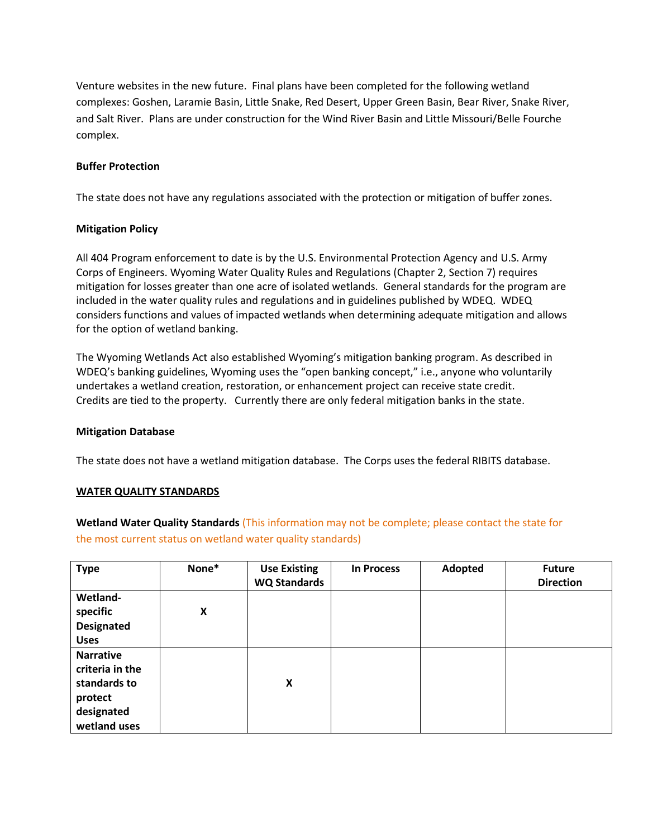Venture websites in the new future. Final plans have been completed for the following wetland complexes: Goshen, Laramie Basin, Little Snake, Red Desert, Upper Green Basin, Bear River, Snake River, and Salt River. Plans are under construction for the Wind River Basin and Little Missouri/Belle Fourche complex.

### **Buffer Protection**

The state does not have any regulations associated with the protection or mitigation of buffer zones.

#### **Mitigation Policy**

All 404 Program enforcement to date is by the U.S. Environmental Protection Agency and U.S. Army Corps of Engineers. Wyoming Water Quality Rules and Regulations (Chapter 2, Section 7) requires mitigation for losses greater than one acre of isolated wetlands. General standards for the program are included in the water quality rules and regulations and in guidelines published by WDEQ. WDEQ considers functions and values of impacted wetlands when determining adequate mitigation and allows for the option of wetland banking.

The Wyoming Wetlands Act also established Wyoming's mitigation banking program. As described in WDEQ's banking guidelines, Wyoming uses the "open banking concept," i.e., anyone who voluntarily undertakes a wetland creation, restoration, or enhancement project can receive state credit. Credits are tied to the property. Currently there are only federal mitigation banks in the state.

#### **Mitigation Database**

The state does not have a wetland mitigation database. The Corps uses the federal RIBITS database.

#### <span id="page-5-0"></span>**WATER QUALITY STANDARDS**

**Wetland Water Quality Standards** (This information may not be complete; please contact the state for the most current status on wetland water quality standards)

| <b>Type</b>                                                                                  | None* | <b>Use Existing</b><br><b>WQ Standards</b> | <b>In Process</b> | Adopted | <b>Future</b><br><b>Direction</b> |
|----------------------------------------------------------------------------------------------|-------|--------------------------------------------|-------------------|---------|-----------------------------------|
| Wetland-<br>specific                                                                         | X     |                                            |                   |         |                                   |
| <b>Designated</b>                                                                            |       |                                            |                   |         |                                   |
| <b>Uses</b>                                                                                  |       |                                            |                   |         |                                   |
| <b>Narrative</b><br>criteria in the<br>standards to<br>protect<br>designated<br>wetland uses |       | X                                          |                   |         |                                   |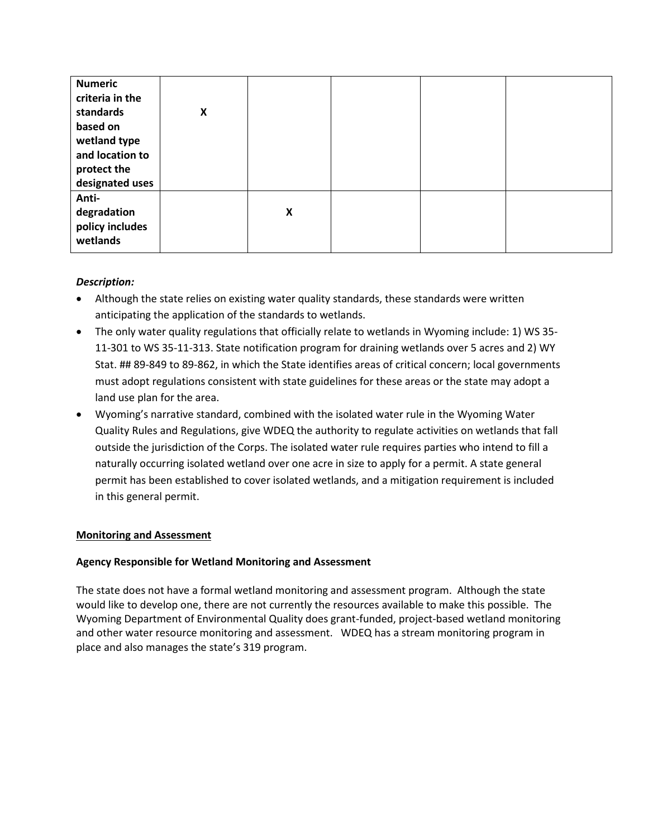| <b>Numeric</b><br>criteria in the<br>standards<br>based on<br>wetland type<br>and location to<br>protect the<br>designated uses | X |   |  |  |
|---------------------------------------------------------------------------------------------------------------------------------|---|---|--|--|
| Anti-<br>degradation<br>policy includes<br>wetlands                                                                             |   | X |  |  |

## *Description:*

- Although the state relies on existing water quality standards, these standards were written anticipating the application of the standards to wetlands.
- The only water quality regulations that officially relate to wetlands in Wyoming include: 1) WS 35- 11-301 to WS 35-11-313. State notification program for draining wetlands over 5 acres and 2) WY Stat. ## 89-849 to 89-862, in which the State identifies areas of critical concern; local governments must adopt regulations consistent with state guidelines for these areas or the state may adopt a land use plan for the area.
- Wyoming's narrative standard, combined with the isolated water rule in the Wyoming Water Quality Rules and Regulations, give WDEQ the authority to regulate activities on wetlands that fall outside the jurisdiction of the Corps. The isolated water rule requires parties who intend to fill a naturally occurring isolated wetland over one acre in size to apply for a permit. A state general permit has been established to cover isolated wetlands, and a mitigation requirement is included in this general permit.

# <span id="page-6-0"></span>**Monitoring and Assessment**

## **Agency Responsible for Wetland Monitoring and Assessment**

The state does not have a formal wetland monitoring and assessment program. Although the state would like to develop one, there are not currently the resources available to make this possible. The Wyoming Department of Environmental Quality does grant-funded, project-based wetland monitoring and other water resource monitoring and assessment. WDEQ has a stream monitoring program in place and also manages the state's 319 program.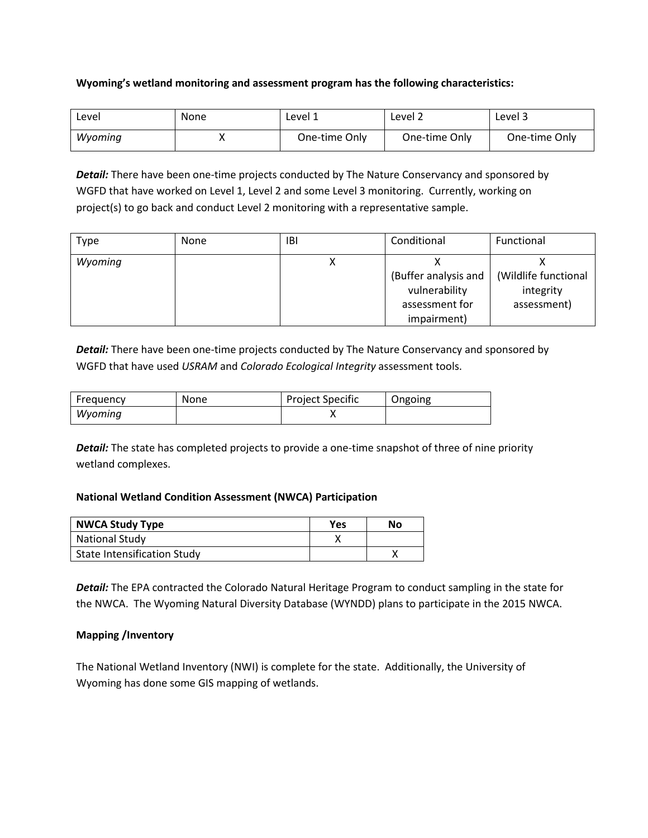### **Wyoming's wetland monitoring and assessment program has the following characteristics:**

| Level   | None | Level 1       | Level 2       | Level 3       |
|---------|------|---------------|---------------|---------------|
| Wvomina |      | One-time Only | One-time Only | One-time Only |

**Detail:** There have been one-time projects conducted by The Nature Conservancy and sponsored by WGFD that have worked on Level 1, Level 2 and some Level 3 monitoring. Currently, working on project(s) to go back and conduct Level 2 monitoring with a representative sample.

| Type    | None | IBI | Conditional          | Functional           |
|---------|------|-----|----------------------|----------------------|
| Wyoming |      |     |                      |                      |
|         |      |     | (Buffer analysis and | (Wildlife functional |
|         |      |     | vulnerability        | integrity            |
|         |      |     | assessment for       | assessment)          |
|         |      |     | impairment)          |                      |

**Detail:** There have been one-time projects conducted by The Nature Conservancy and sponsored by WGFD that have used *USRAM* and *Colorado Ecological Integrity* assessment tools.

| Frequency | None | <b>Project Specific</b> | Ongoing |
|-----------|------|-------------------------|---------|
| Wyoming   |      |                         |         |

**Detail:** The state has completed projects to provide a one-time snapshot of three of nine priority wetland complexes.

### **National Wetland Condition Assessment (NWCA) Participation**

| <b>NWCA Study Type</b>             | <b>Yes</b> | No |
|------------------------------------|------------|----|
| <b>National Study</b>              |            |    |
| <b>State Intensification Study</b> |            |    |

*Detail:* The EPA contracted the Colorado Natural Heritage Program to conduct sampling in the state for the NWCA. The Wyoming Natural Diversity Database (WYNDD) plans to participate in the 2015 NWCA.

### **Mapping /Inventory**

The National Wetland Inventory (NWI) is complete for the state. Additionally, the University of Wyoming has done some GIS mapping of wetlands.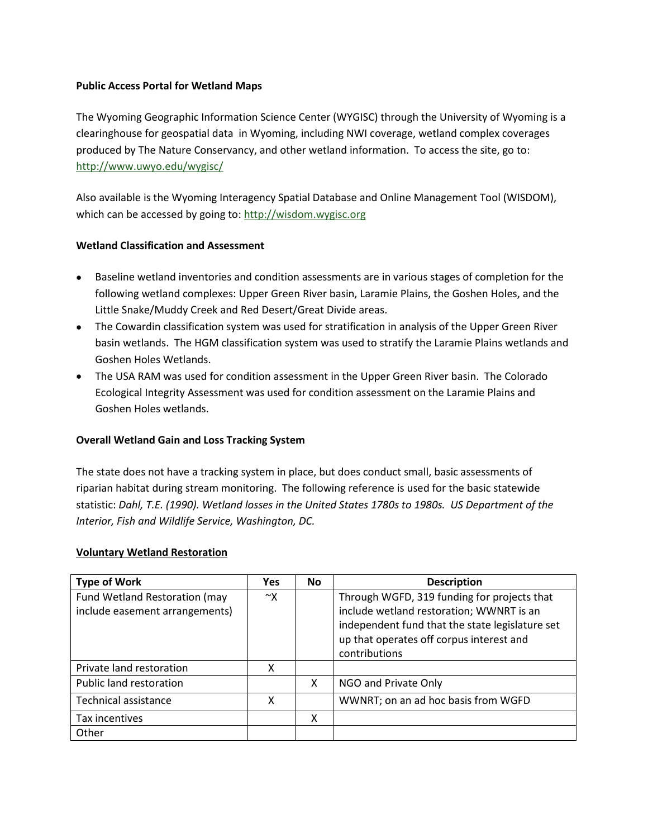### **Public Access Portal for Wetland Maps**

The Wyoming Geographic Information Science Center (WYGISC) through the University of Wyoming is a clearinghouse for geospatial data in Wyoming, including NWI coverage, wetland complex coverages produced by The Nature Conservancy, and other wetland information. To access the site, go to: <http://www.uwyo.edu/wygisc/>

Also available is the Wyoming Interagency Spatial Database and Online Management Tool (WISDOM), which can be accessed by going to[: http://wisdom.wygisc.org](http://wisdom.wygisc.org/)

## **Wetland Classification and Assessment**

- Baseline wetland inventories and condition assessments are in various stages of completion for the following wetland complexes: Upper Green River basin, Laramie Plains, the Goshen Holes, and the Little Snake/Muddy Creek and Red Desert/Great Divide areas.
- The Cowardin classification system was used for stratification in analysis of the Upper Green River basin wetlands. The HGM classification system was used to stratify the Laramie Plains wetlands and Goshen Holes Wetlands.
- The USA RAM was used for condition assessment in the Upper Green River basin. The Colorado Ecological Integrity Assessment was used for condition assessment on the Laramie Plains and Goshen Holes wetlands.

### **Overall Wetland Gain and Loss Tracking System**

The state does not have a tracking system in place, but does conduct small, basic assessments of riparian habitat during stream monitoring. The following reference is used for the basic statewide statistic: *Dahl, T.E. (1990). Wetland losses in the United States 1780s to 1980s. US Department of the Interior, Fish and Wildlife Service, Washington, DC.*

### <span id="page-8-0"></span>**Voluntary Wetland Restoration**

| <b>Type of Work</b>            | <b>Yes</b> | <b>No</b> | <b>Description</b>                              |
|--------------------------------|------------|-----------|-------------------------------------------------|
| Fund Wetland Restoration (may  | ~x         |           | Through WGFD, 319 funding for projects that     |
| include easement arrangements) |            |           | include wetland restoration; WWNRT is an        |
|                                |            |           | independent fund that the state legislature set |
|                                |            |           | up that operates off corpus interest and        |
|                                |            |           | contributions                                   |
| Private land restoration       | χ          |           |                                                 |
| Public land restoration        |            | X         | NGO and Private Only                            |
| Technical assistance           | X          |           | WWNRT; on an ad hoc basis from WGFD             |
| Tax incentives                 |            | x         |                                                 |
| Other                          |            |           |                                                 |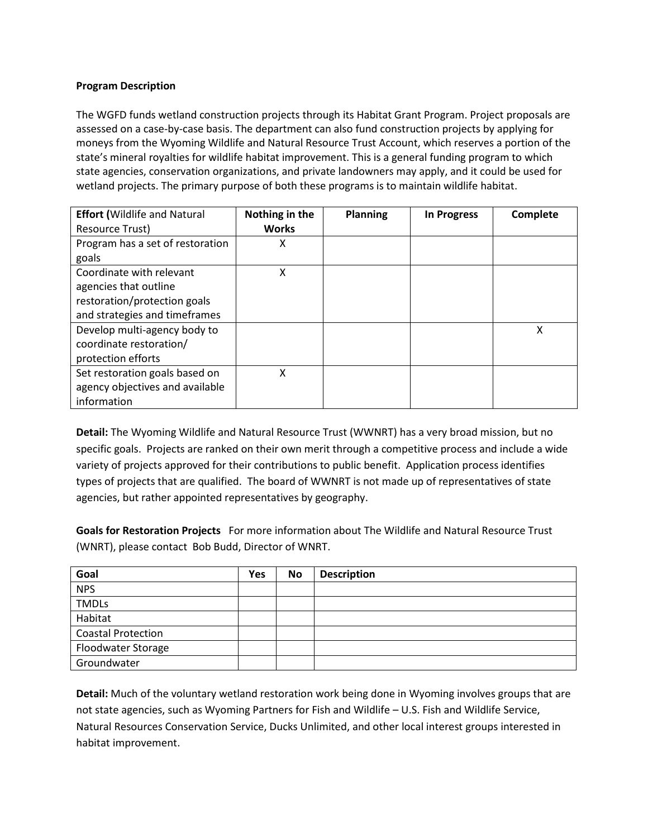## **Program Description**

The WGFD funds wetland construction projects through its Habitat Grant Program. Project proposals are assessed on a case-by-case basis. The department can also fund construction projects by applying for moneys from the Wyoming Wildlife and Natural Resource Trust Account, which reserves a portion of the state's mineral royalties for wildlife habitat improvement. This is a general funding program to which state agencies, conservation organizations, and private landowners may apply, and it could be used for wetland projects. The primary purpose of both these programs is to maintain wildlife habitat.

| <b>Effort (Wildlife and Natural</b> | Nothing in the | <b>Planning</b> | <b>In Progress</b> | Complete |
|-------------------------------------|----------------|-----------------|--------------------|----------|
| Resource Trust)                     | <b>Works</b>   |                 |                    |          |
| Program has a set of restoration    | х              |                 |                    |          |
| goals                               |                |                 |                    |          |
| Coordinate with relevant            | x              |                 |                    |          |
| agencies that outline               |                |                 |                    |          |
| restoration/protection goals        |                |                 |                    |          |
| and strategies and timeframes       |                |                 |                    |          |
| Develop multi-agency body to        |                |                 |                    | X        |
| coordinate restoration/             |                |                 |                    |          |
| protection efforts                  |                |                 |                    |          |
| Set restoration goals based on      | χ              |                 |                    |          |
| agency objectives and available     |                |                 |                    |          |
| information                         |                |                 |                    |          |

**Detail:** The Wyoming Wildlife and Natural Resource Trust (WWNRT) has a very broad mission, but no specific goals. Projects are ranked on their own merit through a competitive process and include a wide variety of projects approved for their contributions to public benefit. Application process identifies types of projects that are qualified. The board of WWNRT is not made up of representatives of state agencies, but rather appointed representatives by geography.

**Goals for Restoration Projects** For more information about The Wildlife and Natural Resource Trust (WNRT), please contact Bob Budd, Director of WNRT.

| Goal                      | <b>Yes</b> | <b>No</b> | <b>Description</b> |
|---------------------------|------------|-----------|--------------------|
| <b>NPS</b>                |            |           |                    |
| <b>TMDLs</b>              |            |           |                    |
| Habitat                   |            |           |                    |
| <b>Coastal Protection</b> |            |           |                    |
| Floodwater Storage        |            |           |                    |
| Groundwater               |            |           |                    |

**Detail:** Much of the voluntary wetland restoration work being done in Wyoming involves groups that are not state agencies, such as Wyoming Partners for Fish and Wildlife – U.S. Fish and Wildlife Service, Natural Resources Conservation Service, Ducks Unlimited, and other local interest groups interested in habitat improvement.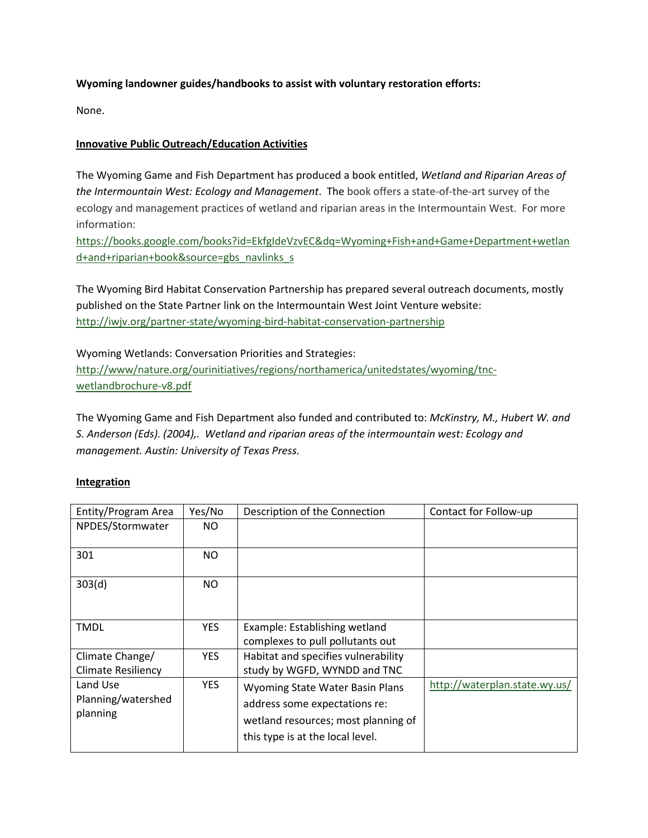## **Wyoming landowner guides/handbooks to assist with voluntary restoration efforts:**

None.

## <span id="page-10-0"></span>**Innovative Public Outreach/Education Activities**

The Wyoming Game and Fish Department has produced a book entitled, *Wetland and Riparian Areas of the Intermountain West: Ecology and Management*. The book offers a state-of-the-art survey of the ecology and management practices of wetland and riparian areas in the Intermountain West. For more information:

[https://books.google.com/books?id=EkfgIdeVzvEC&dq=Wyoming+Fish+and+Game+Department+wetlan](https://books.google.com/books?id=EkfgIdeVzvEC&dq=Wyoming+Fish+and+Game+Department+wetland+and+riparian+book&source=gbs_navlinks_s) [d+and+riparian+book&source=gbs\\_navlinks\\_s](https://books.google.com/books?id=EkfgIdeVzvEC&dq=Wyoming+Fish+and+Game+Department+wetland+and+riparian+book&source=gbs_navlinks_s)

The Wyoming Bird Habitat Conservation Partnership has prepared several outreach documents, mostly published on the State Partner link on the Intermountain West Joint Venture website: <http://iwjv.org/partner-state/wyoming-bird-habitat-conservation-partnership>

Wyoming Wetlands: Conversation Priorities and Strategies: [http://www/nature.org/ourinitiatives/regions/northamerica/unitedstates/wyoming/tnc](http://www/nature.org/ourinitiatives/regions/northamerica/unitedstates/wyoming/tnc-wetlandbrochure-v8.pdf)[wetlandbrochure-v8.pdf](http://www/nature.org/ourinitiatives/regions/northamerica/unitedstates/wyoming/tnc-wetlandbrochure-v8.pdf)

The Wyoming Game and Fish Department also funded and contributed to: *McKinstry, M., Hubert W. and S. Anderson (Eds). (2004),. Wetland and riparian areas of the intermountain west: Ecology and management. Austin: University of Texas Press.*

### <span id="page-10-1"></span>**Integration**

| Entity/Program Area                          | Yes/No     | Description of the Connection                                                                                                               | Contact for Follow-up         |
|----------------------------------------------|------------|---------------------------------------------------------------------------------------------------------------------------------------------|-------------------------------|
| NPDES/Stormwater                             | NO.        |                                                                                                                                             |                               |
| 301                                          | NO.        |                                                                                                                                             |                               |
| 303(d)                                       | NO.        |                                                                                                                                             |                               |
| <b>TMDL</b>                                  | <b>YES</b> | Example: Establishing wetland<br>complexes to pull pollutants out                                                                           |                               |
| Climate Change/<br><b>Climate Resiliency</b> | <b>YES</b> | Habitat and specifies vulnerability<br>study by WGFD, WYNDD and TNC                                                                         |                               |
| Land Use<br>Planning/watershed<br>planning   | <b>YES</b> | Wyoming State Water Basin Plans<br>address some expectations re:<br>wetland resources; most planning of<br>this type is at the local level. | http://waterplan.state.wy.us/ |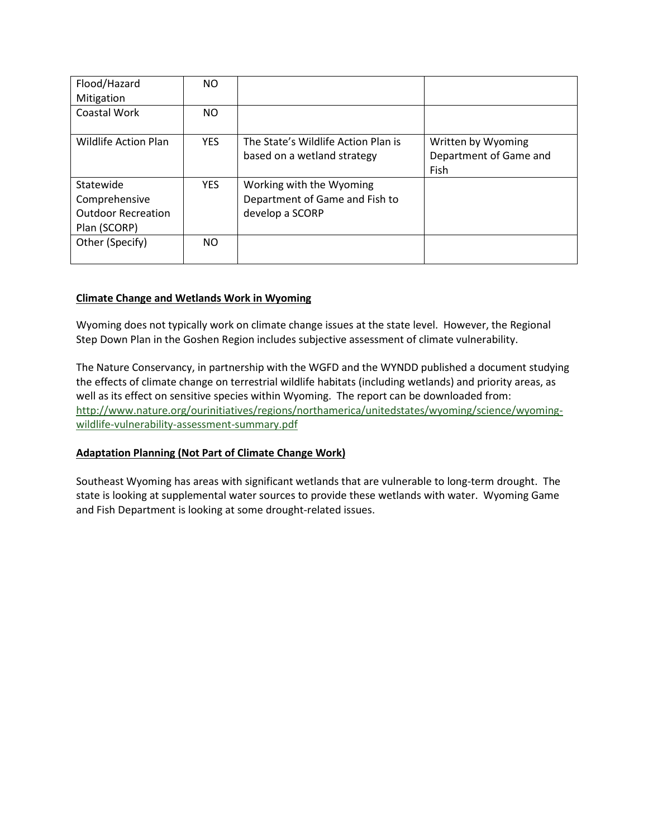| Flood/Hazard<br>Mitigation                                              | ΝO         |                                                                               |                                                      |
|-------------------------------------------------------------------------|------------|-------------------------------------------------------------------------------|------------------------------------------------------|
| <b>Coastal Work</b>                                                     | ΝO         |                                                                               |                                                      |
| <b>Wildlife Action Plan</b>                                             | <b>YES</b> | The State's Wildlife Action Plan is<br>based on a wetland strategy            | Written by Wyoming<br>Department of Game and<br>Fish |
| Statewide<br>Comprehensive<br><b>Outdoor Recreation</b><br>Plan (SCORP) | <b>YES</b> | Working with the Wyoming<br>Department of Game and Fish to<br>develop a SCORP |                                                      |
| Other (Specify)                                                         | NO.        |                                                                               |                                                      |

## **Climate Change and Wetlands Work in Wyoming**

Wyoming does not typically work on climate change issues at the state level. However, the Regional Step Down Plan in the Goshen Region includes subjective assessment of climate vulnerability.

The Nature Conservancy, in partnership with the WGFD and the WYNDD published a document studying the effects of climate change on terrestrial wildlife habitats (including wetlands) and priority areas, as well as its effect on sensitive species within Wyoming. The report can be downloaded from: [http://www.nature.org/ourinitiatives/regions/northamerica/unitedstates/wyoming/science/wyoming](http://www.nature.org/ourinitiatives/regions/northamerica/unitedstates/wyoming/science/wyoming-wildlife-vulnerability-assessment-summary.pdf)[wildlife-vulnerability-assessment-summary.pdf](http://www.nature.org/ourinitiatives/regions/northamerica/unitedstates/wyoming/science/wyoming-wildlife-vulnerability-assessment-summary.pdf)

### **Adaptation Planning (Not Part of Climate Change Work)**

Southeast Wyoming has areas with significant wetlands that are vulnerable to long-term drought. The state is looking at supplemental water sources to provide these wetlands with water. Wyoming Game and Fish Department is looking at some drought-related issues.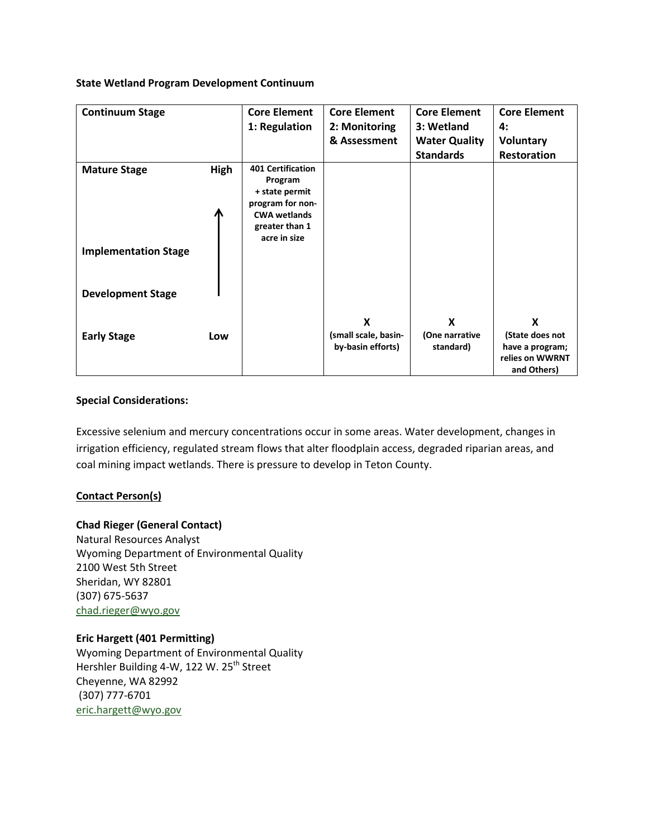#### **State Wetland Program Development Continuum**

| <b>Continuum Stage</b>      |           | <b>Core Element</b>                                                                              | <b>Core Element</b>                       | <b>Core Element</b>         | <b>Core Element</b>                                                  |
|-----------------------------|-----------|--------------------------------------------------------------------------------------------------|-------------------------------------------|-----------------------------|----------------------------------------------------------------------|
|                             |           | 1: Regulation                                                                                    | 2: Monitoring                             | 3: Wetland                  | 4:                                                                   |
|                             |           |                                                                                                  | & Assessment                              | <b>Water Quality</b>        | <b>Voluntary</b>                                                     |
|                             |           |                                                                                                  |                                           | <b>Standards</b>            | <b>Restoration</b>                                                   |
| <b>Mature Stage</b>         | High<br>Л | <b>401 Certification</b><br>Program<br>+ state permit<br>program for non-<br><b>CWA wetlands</b> |                                           |                             |                                                                      |
|                             |           | greater than 1<br>acre in size                                                                   |                                           |                             |                                                                      |
| <b>Implementation Stage</b> |           |                                                                                                  |                                           |                             |                                                                      |
| <b>Development Stage</b>    |           |                                                                                                  |                                           |                             |                                                                      |
|                             |           |                                                                                                  | X                                         | X                           | X                                                                    |
| <b>Early Stage</b>          | Low       |                                                                                                  | (small scale, basin-<br>by-basin efforts) | (One narrative<br>standard) | (State does not<br>have a program;<br>relies on WWRNT<br>and Others) |

### **Special Considerations:**

Excessive selenium and mercury concentrations occur in some areas. Water development, changes in irrigation efficiency, regulated stream flows that alter floodplain access, degraded riparian areas, and coal mining impact wetlands. There is pressure to develop in Teton County.

### **Contact Person(s)**

# **Chad Rieger (General Contact)**

Natural Resources Analyst Wyoming Department of Environmental Quality 2100 West 5th Street Sheridan, WY 82801 (307) 675-5637 [chad.rieger@wyo.gov](mailto:chad.rieger@wyo.gov)

### **Eric Hargett (401 Permitting)**

Wyoming Department of Environmental Quality Hershler Building 4-W, 122 W. 25<sup>th</sup> Street Cheyenne, WA 82992 (307) 777-6701 [eric.hargett@wyo.gov](mailto:eric.hargett@wyo.gov)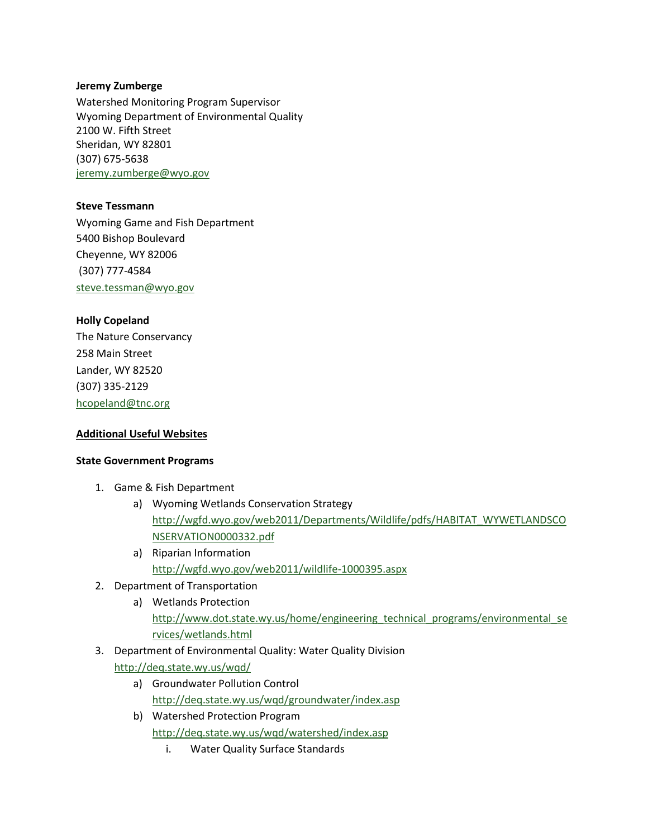#### **Jeremy Zumberge**

Watershed Monitoring Program Supervisor Wyoming Department of Environmental Quality 2100 W. Fifth Street Sheridan, WY 82801 (307) 675-5638 [jeremy.zumberge@wyo.gov](mailto:jeremy.zumberge@wyo.gov)

**Steve Tessmann** Wyoming Game and Fish Department 5400 Bishop Boulevard Cheyenne, WY 82006 (307) 777-4584

[steve.tessman@wyo.gov](mailto:steve.tessman@wyo.gov)

### **Holly Copeland**

The Nature Conservancy 258 Main Street Lander, WY 82520 (307) 335-2129 [hcopeland@tnc.org](mailto:hcopeland@tnc.org)

### **Additional Useful Websites**

### **State Government Programs**

- 1. Game & Fish Department
	- a) Wyoming Wetlands Conservation Strategy [http://wgfd.wyo.gov/web2011/Departments/Wildlife/pdfs/HABITAT\\_WYWETLANDSCO](http://wgfd.wyo.gov/web2011/Departments/Wildlife/pdfs/HABITAT_WYWETLANDSCONSERVATION0000332.pdf) [NSERVATION0000332.pdf](http://wgfd.wyo.gov/web2011/Departments/Wildlife/pdfs/HABITAT_WYWETLANDSCONSERVATION0000332.pdf)
	- a) Riparian Information <http://wgfd.wyo.gov/web2011/wildlife-1000395.aspx>
- 2. Department of Transportation
	- a) Wetlands Protection [http://www.dot.state.wy.us/home/engineering\\_technical\\_programs/environmental\\_se](http://www.dot.state.wy.us/home/engineering_technical_programs/environmental_services/wetlands.html) [rvices/wetlands.html](http://www.dot.state.wy.us/home/engineering_technical_programs/environmental_services/wetlands.html)
- 3. Department of Environmental Quality: Water Quality Division <http://deq.state.wy.us/wqd/>
	- a) Groundwater Pollution Control <http://deq.state.wy.us/wqd/groundwater/index.asp>
	- b) Watershed Protection Program <http://deq.state.wy.us/wqd/watershed/index.asp>
		- i. Water Quality Surface Standards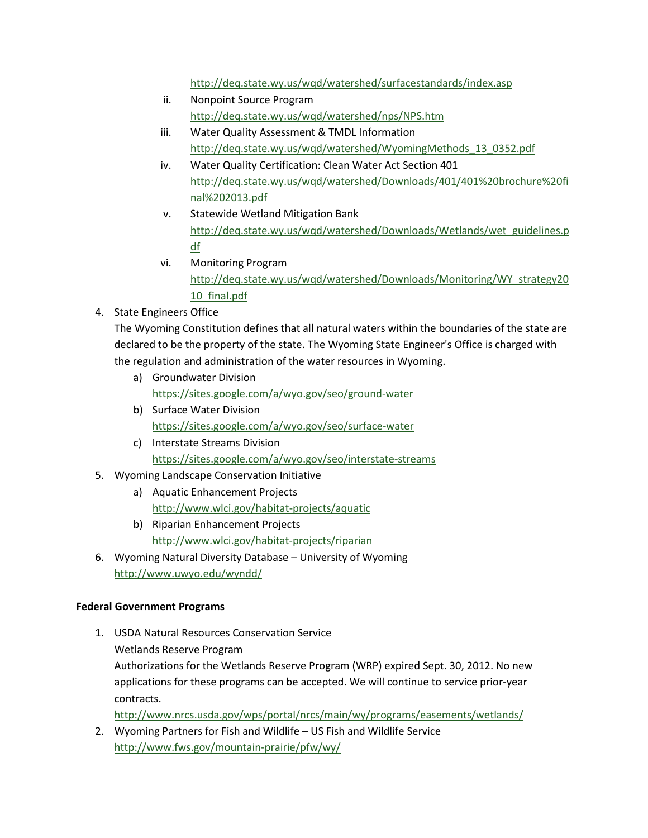<http://deq.state.wy.us/wqd/watershed/surfacestandards/index.asp>

- ii. Nonpoint Source Program <http://deq.state.wy.us/wqd/watershed/nps/NPS.htm>
- iii. Water Quality Assessment & TMDL Information [http://deq.state.wy.us/wqd/watershed/WyomingMethods\\_13\\_0352.pdf](http://deq.state.wy.us/wqd/watershed/WyomingMethods_13_0352.pdf)
- iv. Water Quality Certification: Clean Water Act Section 401 [http://deq.state.wy.us/wqd/watershed/Downloads/401/401%20brochure%20fi](http://deq.state.wy.us/wqd/watershed/Downloads/401/401%20brochure%20final%202013.pdf) [nal%202013.pdf](http://deq.state.wy.us/wqd/watershed/Downloads/401/401%20brochure%20final%202013.pdf)
- v. Statewide Wetland Mitigation Bank [http://deq.state.wy.us/wqd/watershed/Downloads/Wetlands/wet\\_guidelines.p](http://deq.state.wy.us/wqd/watershed/Downloads/Wetlands/wet_guidelines.pdf) [df](http://deq.state.wy.us/wqd/watershed/Downloads/Wetlands/wet_guidelines.pdf)
- vi. Monitoring Program [http://deq.state.wy.us/wqd/watershed/Downloads/Monitoring/WY\\_strategy20](http://deq.state.wy.us/wqd/watershed/Downloads/Monitoring/WY_strategy2010_final.pdf) [10\\_final.pdf](http://deq.state.wy.us/wqd/watershed/Downloads/Monitoring/WY_strategy2010_final.pdf)
- 4. State Engineers Office

The Wyoming Constitution defines that all natural waters within the boundaries of the state are declared to be the property of the state. The Wyoming State Engineer's Office is charged with the regulation and administration of the water resources in Wyoming.

- a) Groundwater Division <https://sites.google.com/a/wyo.gov/seo/ground-water>
- b) Surface Water Division <https://sites.google.com/a/wyo.gov/seo/surface-water>
- c) Interstate Streams Division <https://sites.google.com/a/wyo.gov/seo/interstate-streams>
- 5. Wyoming Landscape Conservation Initiative
	- a) Aquatic Enhancement Projects <http://www.wlci.gov/habitat-projects/aquatic>
	- b) Riparian Enhancement Projects <http://www.wlci.gov/habitat-projects/riparian>
- 6. Wyoming Natural Diversity Database University of Wyoming <http://www.uwyo.edu/wyndd/>

# **Federal Government Programs**

- 1. USDA Natural Resources Conservation Service Wetlands Reserve Program Authorizations for the Wetlands Reserve Program (WRP) expired Sept. 30, 2012. No new applications for these programs can be accepted. We will continue to service prior-year contracts. <http://www.nrcs.usda.gov/wps/portal/nrcs/main/wy/programs/easements/wetlands/>
- 2. Wyoming Partners for Fish and Wildlife US Fish and Wildlife Service <http://www.fws.gov/mountain-prairie/pfw/wy/>